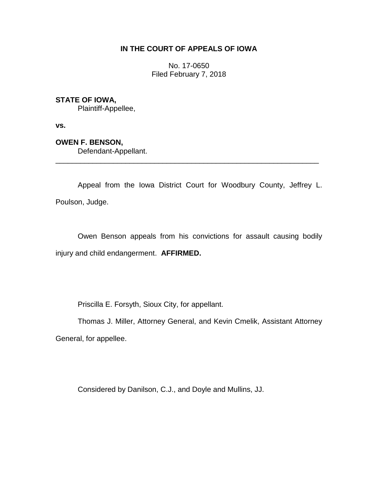# **IN THE COURT OF APPEALS OF IOWA**

No. 17-0650 Filed February 7, 2018

# **STATE OF IOWA,**

Plaintiff-Appellee,

**vs.**

# **OWEN F. BENSON,**

Defendant-Appellant.

Appeal from the Iowa District Court for Woodbury County, Jeffrey L. Poulson, Judge.

\_\_\_\_\_\_\_\_\_\_\_\_\_\_\_\_\_\_\_\_\_\_\_\_\_\_\_\_\_\_\_\_\_\_\_\_\_\_\_\_\_\_\_\_\_\_\_\_\_\_\_\_\_\_\_\_\_\_\_\_\_\_\_\_

Owen Benson appeals from his convictions for assault causing bodily injury and child endangerment. **AFFIRMED.**

Priscilla E. Forsyth, Sioux City, for appellant.

Thomas J. Miller, Attorney General, and Kevin Cmelik, Assistant Attorney General, for appellee.

Considered by Danilson, C.J., and Doyle and Mullins, JJ.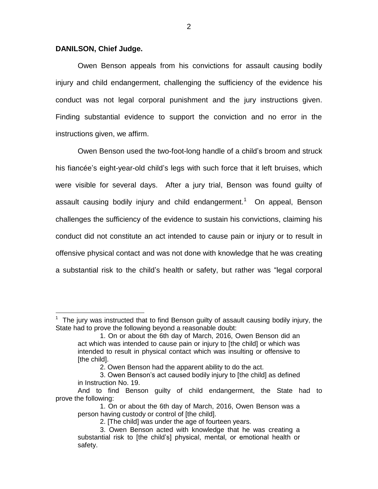### **DANILSON, Chief Judge.**

 $\overline{a}$ 

Owen Benson appeals from his convictions for assault causing bodily injury and child endangerment, challenging the sufficiency of the evidence his conduct was not legal corporal punishment and the jury instructions given. Finding substantial evidence to support the conviction and no error in the instructions given, we affirm.

Owen Benson used the two-foot-long handle of a child's broom and struck his fiancée's eight-year-old child's legs with such force that it left bruises, which were visible for several days. After a jury trial, Benson was found guilty of assault causing bodily injury and child endangerment.<sup>1</sup> On appeal, Benson challenges the sufficiency of the evidence to sustain his convictions, claiming his conduct did not constitute an act intended to cause pain or injury or to result in offensive physical contact and was not done with knowledge that he was creating a substantial risk to the child's health or safety, but rather was "legal corporal

<sup>1</sup> The jury was instructed that to find Benson guilty of assault causing bodily injury, the State had to prove the following beyond a reasonable doubt:

<sup>1.</sup> On or about the 6th day of March, 2016, Owen Benson did an act which was intended to cause pain or injury to [the child] or which was intended to result in physical contact which was insulting or offensive to [the child].

<sup>2.</sup> Owen Benson had the apparent ability to do the act.

<sup>3.</sup> Owen Benson's act caused bodily injury to [the child] as defined in Instruction No. 19.

And to find Benson guilty of child endangerment, the State had to prove the following:

<sup>1.</sup> On or about the 6th day of March, 2016, Owen Benson was a person having custody or control of [the child].

<sup>2. [</sup>The child] was under the age of fourteen years.

<sup>3.</sup> Owen Benson acted with knowledge that he was creating a substantial risk to [the child's] physical, mental, or emotional health or safety.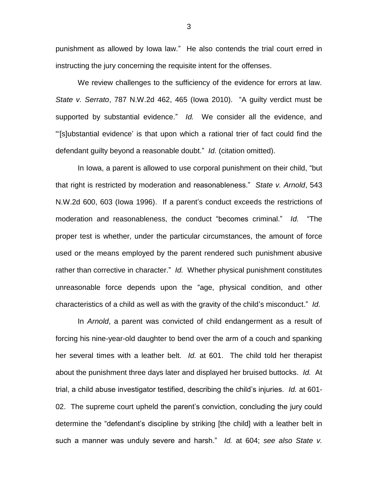punishment as allowed by Iowa law." He also contends the trial court erred in instructing the jury concerning the requisite intent for the offenses.

We review challenges to the sufficiency of the evidence for errors at law. *State v. Serrato*, 787 N.W.2d 462, 465 (Iowa 2010). "A guilty verdict must be supported by substantial evidence." *Id.* We consider all the evidence, and "'[s]ubstantial evidence' is that upon which a rational trier of fact could find the defendant guilty beyond a reasonable doubt." *Id.* (citation omitted).

In Iowa, a parent is allowed to use corporal punishment on their child, "but that right is restricted by moderation and reasonableness." *State v. Arnold*, 543 N.W.2d 600, 603 (Iowa 1996). If a parent's conduct exceeds the restrictions of moderation and reasonableness, the conduct "becomes criminal." *Id.* "The proper test is whether, under the particular circumstances, the amount of force used or the means employed by the parent rendered such punishment abusive rather than corrective in character." *Id.* Whether physical punishment constitutes unreasonable force depends upon the "age, physical condition, and other characteristics of a child as well as with the gravity of the child's misconduct." *Id.*

In *Arnold*, a parent was convicted of child endangerment as a result of forcing his nine-year-old daughter to bend over the arm of a couch and spanking her several times with a leather belt. *Id.* at 601. The child told her therapist about the punishment three days later and displayed her bruised buttocks. *Id.* At trial, a child abuse investigator testified, describing the child's injuries. *Id.* at 601- 02. The supreme court upheld the parent's conviction, concluding the jury could determine the "defendant's discipline by striking [the child] with a leather belt in such a manner was unduly severe and harsh." *Id.* at 604; *see also State v.*

3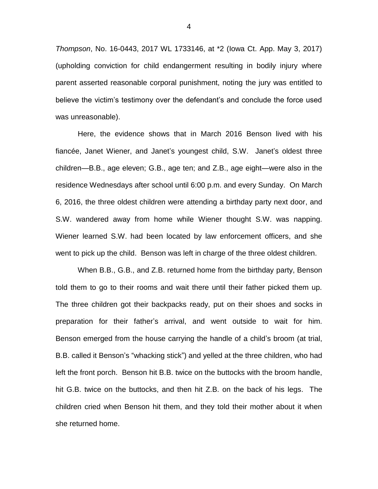*Thompson*, No. 16-0443, 2017 WL 1733146, at \*2 (Iowa Ct. App. May 3, 2017) (upholding conviction for child endangerment resulting in bodily injury where parent asserted reasonable corporal punishment, noting the jury was entitled to believe the victim's testimony over the defendant's and conclude the force used was unreasonable).

Here, the evidence shows that in March 2016 Benson lived with his fiancée, Janet Wiener, and Janet's youngest child, S.W. Janet's oldest three children—B.B., age eleven; G.B., age ten; and Z.B., age eight—were also in the residence Wednesdays after school until 6:00 p.m. and every Sunday. On March 6, 2016, the three oldest children were attending a birthday party next door, and S.W. wandered away from home while Wiener thought S.W. was napping. Wiener learned S.W. had been located by law enforcement officers, and she went to pick up the child. Benson was left in charge of the three oldest children.

When B.B., G.B., and Z.B. returned home from the birthday party, Benson told them to go to their rooms and wait there until their father picked them up. The three children got their backpacks ready, put on their shoes and socks in preparation for their father's arrival, and went outside to wait for him. Benson emerged from the house carrying the handle of a child's broom (at trial, B.B. called it Benson's "whacking stick") and yelled at the three children, who had left the front porch. Benson hit B.B. twice on the buttocks with the broom handle, hit G.B. twice on the buttocks, and then hit Z.B. on the back of his legs. The children cried when Benson hit them, and they told their mother about it when she returned home.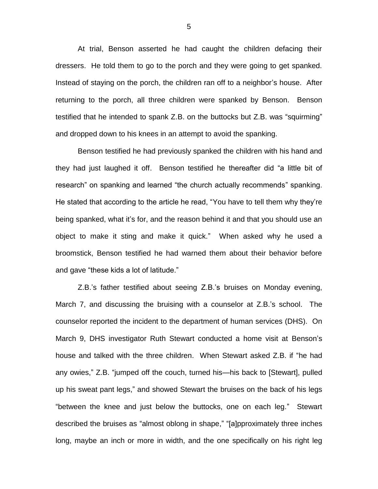At trial, Benson asserted he had caught the children defacing their dressers. He told them to go to the porch and they were going to get spanked. Instead of staying on the porch, the children ran off to a neighbor's house. After returning to the porch, all three children were spanked by Benson. Benson testified that he intended to spank Z.B. on the buttocks but Z.B. was "squirming" and dropped down to his knees in an attempt to avoid the spanking.

Benson testified he had previously spanked the children with his hand and they had just laughed it off. Benson testified he thereafter did "a little bit of research" on spanking and learned "the church actually recommends" spanking. He stated that according to the article he read, "You have to tell them why they're being spanked, what it's for, and the reason behind it and that you should use an object to make it sting and make it quick." When asked why he used a broomstick, Benson testified he had warned them about their behavior before and gave "these kids a lot of latitude."

Z.B.'s father testified about seeing Z.B.'s bruises on Monday evening, March 7, and discussing the bruising with a counselor at Z.B.'s school. The counselor reported the incident to the department of human services (DHS). On March 9, DHS investigator Ruth Stewart conducted a home visit at Benson's house and talked with the three children. When Stewart asked Z.B. if "he had any owies," Z.B. "jumped off the couch, turned his—his back to [Stewart], pulled up his sweat pant legs," and showed Stewart the bruises on the back of his legs "between the knee and just below the buttocks, one on each leg." Stewart described the bruises as "almost oblong in shape," "[a]pproximately three inches long, maybe an inch or more in width, and the one specifically on his right leg

5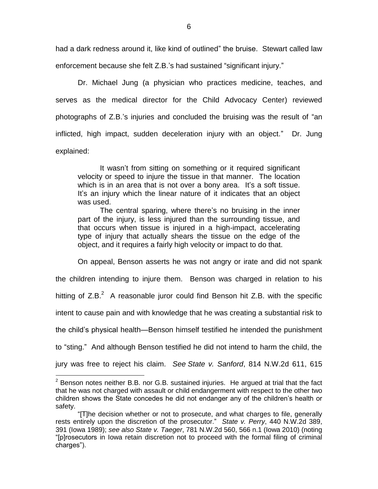had a dark redness around it, like kind of outlined" the bruise. Stewart called law enforcement because she felt Z.B.'s had sustained "significant injury."

Dr. Michael Jung (a physician who practices medicine, teaches, and serves as the medical director for the Child Advocacy Center) reviewed photographs of Z.B.'s injuries and concluded the bruising was the result of "an inflicted, high impact, sudden deceleration injury with an object." Dr. Jung explained:

It wasn't from sitting on something or it required significant velocity or speed to injure the tissue in that manner. The location which is in an area that is not over a bony area. It's a soft tissue. It's an injury which the linear nature of it indicates that an object was used.

The central sparing, where there's no bruising in the inner part of the injury, is less injured than the surrounding tissue, and that occurs when tissue is injured in a high-impact, accelerating type of injury that actually shears the tissue on the edge of the object, and it requires a fairly high velocity or impact to do that.

On appeal, Benson asserts he was not angry or irate and did not spank the children intending to injure them. Benson was charged in relation to his hitting of  $Z.B.^2$  A reasonable juror could find Benson hit  $Z.B.$  with the specific intent to cause pain and with knowledge that he was creating a substantial risk to the child's physical health—Benson himself testified he intended the punishment to "sting." And although Benson testified he did not intend to harm the child, the jury was free to reject his claim. *See State v. Sanford*, 814 N.W.2d 611, 615

 $\overline{a}$ 

 $2$  Benson notes neither B.B. nor G.B. sustained injuries. He argued at trial that the fact that he was not charged with assault or child endangerment with respect to the other two children shows the State concedes he did not endanger any of the children's health or safety.

<sup>&</sup>quot;[T]he decision whether or not to prosecute, and what charges to file, generally rests entirely upon the discretion of the prosecutor." *State v. Perry*, 440 N.W.2d 389, 391 (Iowa 1989); *see also State v. Taeger*, 781 N.W.2d 560, 566 n.1 (Iowa 2010) (noting "[p]rosecutors in Iowa retain discretion not to proceed with the formal filing of criminal charges").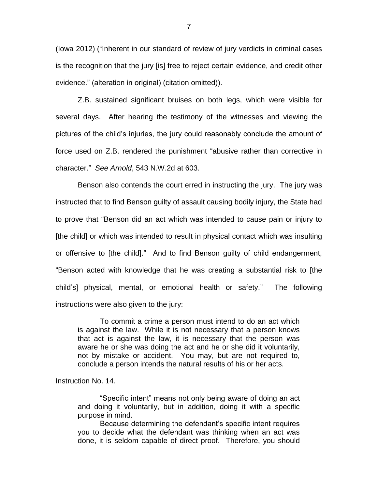(Iowa 2012) ("Inherent in our standard of review of jury verdicts in criminal cases is the recognition that the jury [is] free to reject certain evidence, and credit other evidence." (alteration in original) (citation omitted)).

Z.B. sustained significant bruises on both legs, which were visible for several days. After hearing the testimony of the witnesses and viewing the pictures of the child's injuries, the jury could reasonably conclude the amount of force used on Z.B. rendered the punishment "abusive rather than corrective in character." *See Arnold*, 543 N.W.2d at 603.

Benson also contends the court erred in instructing the jury. The jury was instructed that to find Benson guilty of assault causing bodily injury, the State had to prove that "Benson did an act which was intended to cause pain or injury to [the child] or which was intended to result in physical contact which was insulting or offensive to [the child]." And to find Benson guilty of child endangerment, "Benson acted with knowledge that he was creating a substantial risk to [the child's] physical, mental, or emotional health or safety." The following instructions were also given to the jury:

To commit a crime a person must intend to do an act which is against the law. While it is not necessary that a person knows that act is against the law, it is necessary that the person was aware he or she was doing the act and he or she did it voluntarily, not by mistake or accident. You may, but are not required to, conclude a person intends the natural results of his or her acts.

Instruction No. 14.

"Specific intent" means not only being aware of doing an act and doing it voluntarily, but in addition, doing it with a specific purpose in mind.

Because determining the defendant's specific intent requires you to decide what the defendant was thinking when an act was done, it is seldom capable of direct proof. Therefore, you should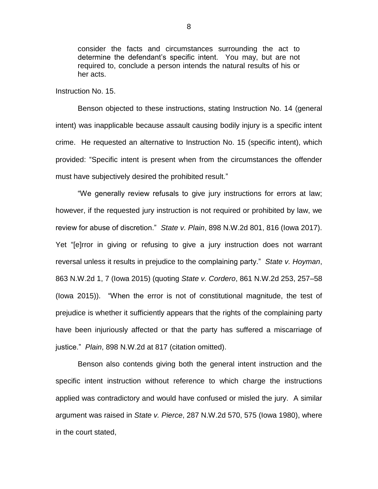consider the facts and circumstances surrounding the act to determine the defendant's specific intent. You may, but are not required to, conclude a person intends the natural results of his or her acts.

Instruction No. 15.

Benson objected to these instructions, stating Instruction No. 14 (general intent) was inapplicable because assault causing bodily injury is a specific intent crime. He requested an alternative to Instruction No. 15 (specific intent), which provided: "Specific intent is present when from the circumstances the offender must have subjectively desired the prohibited result."

"We generally review refusals to give jury instructions for errors at law; however, if the requested jury instruction is not required or prohibited by law, we review for abuse of discretion." *State v. Plain*, 898 N.W.2d 801, 816 (Iowa 2017). Yet "[e]rror in giving or refusing to give a jury instruction does not warrant reversal unless it results in prejudice to the complaining party." *State v. Hoyman*, 863 N.W.2d 1, 7 (Iowa 2015) (quoting *State v. Cordero*, 861 N.W.2d 253, 257–58 (Iowa 2015)). "When the error is not of constitutional magnitude, the test of prejudice is whether it sufficiently appears that the rights of the complaining party have been injuriously affected or that the party has suffered a miscarriage of justice." *Plain*, 898 N.W.2d at 817 (citation omitted).

Benson also contends giving both the general intent instruction and the specific intent instruction without reference to which charge the instructions applied was contradictory and would have confused or misled the jury. A similar argument was raised in *State v. Pierce*, 287 N.W.2d 570, 575 (Iowa 1980), where in the court stated,